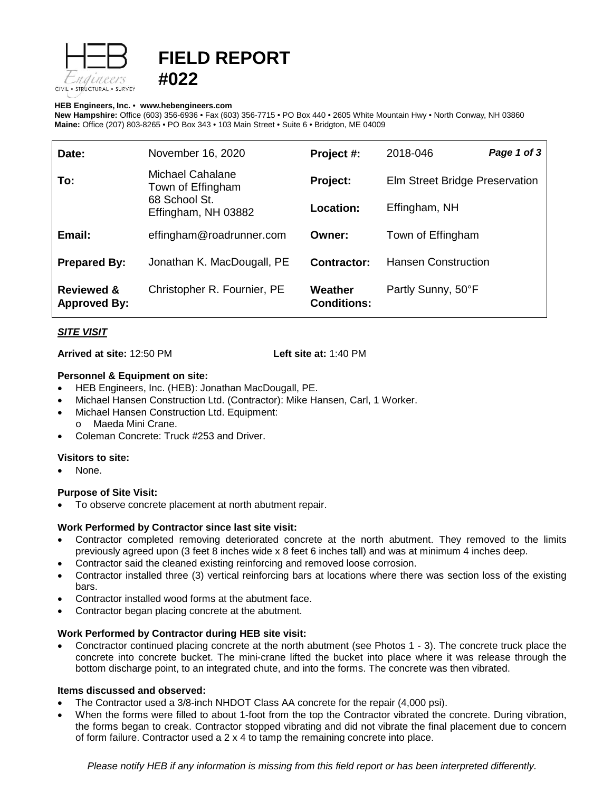



### **HEB Engineers, Inc.** • **[www.hebengineer](http://www.hebengineers.com/)s.com**

**New Hampshire:** Office (603) 356-6936 • Fax (603) 356-7715 • PO Box 440 • 2605 White Mountain Hwy • North Conway, NH 03860 **Maine:** Office (207) 803-8265 • PO Box 343 • 103 Main Street • Suite 6 • Bridgton, ME 04009

| Date:                                        | November 16, 2020                                                                    | Project #:                    | 2018-046                       | Page 1 of 3 |
|----------------------------------------------|--------------------------------------------------------------------------------------|-------------------------------|--------------------------------|-------------|
| To:                                          | <b>Michael Cahalane</b><br>Town of Effingham<br>68 School St.<br>Effingham, NH 03882 | Project:                      | Elm Street Bridge Preservation |             |
|                                              |                                                                                      | Location:                     | Effingham, NH                  |             |
| Email:                                       | effingham@roadrunner.com                                                             | Owner:                        | Town of Effingham              |             |
| <b>Prepared By:</b>                          | Jonathan K. MacDougall, PE                                                           | <b>Contractor:</b>            | <b>Hansen Construction</b>     |             |
| <b>Reviewed &amp;</b><br><b>Approved By:</b> | Christopher R. Fournier, PE                                                          | Weather<br><b>Conditions:</b> | Partly Sunny, 50°F             |             |

# *SITE VISIT*

**Arrived at site:** 12:50 PM **Left site at:** 1:40 PM

## **Personnel & Equipment on site:**

- HEB Engineers, Inc. (HEB): Jonathan MacDougall, PE.
- Michael Hansen Construction Ltd. (Contractor): Mike Hansen, Carl, 1 Worker.
- Michael Hansen Construction Ltd. Equipment: o Maeda Mini Crane.
- Coleman Concrete: Truck #253 and Driver.

## **Visitors to site:**

• None.

## **Purpose of Site Visit:**

• To observe concrete placement at north abutment repair.

## **Work Performed by Contractor since last site visit:**

- Contractor completed removing deteriorated concrete at the north abutment. They removed to the limits previously agreed upon (3 feet 8 inches wide x 8 feet 6 inches tall) and was at minimum 4 inches deep.
- Contractor said the cleaned existing reinforcing and removed loose corrosion.
- Contractor installed three (3) vertical reinforcing bars at locations where there was section loss of the existing bars.
- Contractor installed wood forms at the abutment face.
- Contractor began placing concrete at the abutment.

## **Work Performed by Contractor during HEB site visit:**

• Conctractor continued placing concrete at the north abutment (see Photos 1 - 3). The concrete truck place the concrete into concrete bucket. The mini-crane lifted the bucket into place where it was release through the bottom discharge point, to an integrated chute, and into the forms. The concrete was then vibrated.

## **Items discussed and observed:**

- The Contractor used a 3/8-inch NHDOT Class AA concrete for the repair (4,000 psi).
- When the forms were filled to about 1-foot from the top the Contractor vibrated the concrete. During vibration, the forms began to creak. Contractor stopped vibrating and did not vibrate the final placement due to concern of form failure. Contractor used a 2 x 4 to tamp the remaining concrete into place.

*Please notify HEB if any information is missing from this field report or has been interpreted differently.*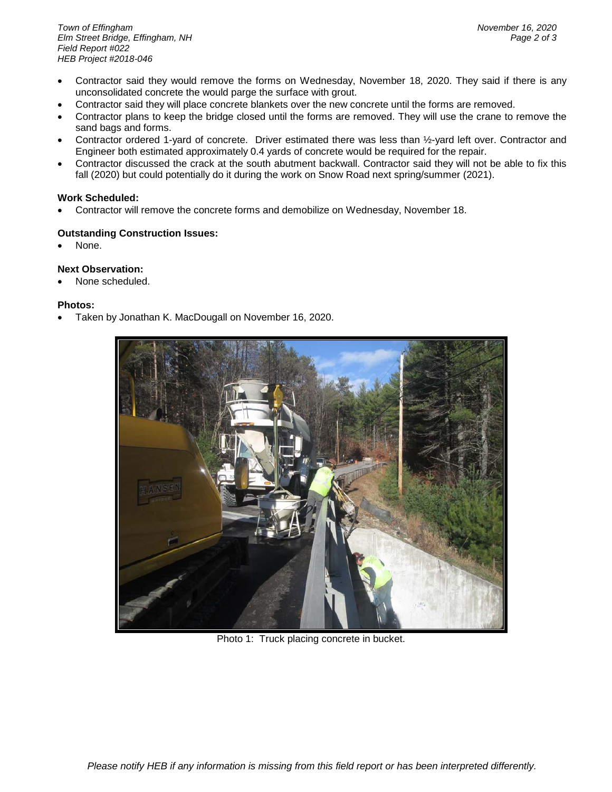- Contractor said they would remove the forms on Wednesday, November 18, 2020. They said if there is any unconsolidated concrete the would parge the surface with grout.
- Contractor said they will place concrete blankets over the new concrete until the forms are removed.
- Contractor plans to keep the bridge closed until the forms are removed. They will use the crane to remove the sand bags and forms.
- Contractor ordered 1-yard of concrete. Driver estimated there was less than ½-yard left over. Contractor and Engineer both estimated approximately 0.4 yards of concrete would be required for the repair.
- Contractor discussed the crack at the south abutment backwall. Contractor said they will not be able to fix this fall (2020) but could potentially do it during the work on Snow Road next spring/summer (2021).

# **Work Scheduled:**

• Contractor will remove the concrete forms and demobilize on Wednesday, November 18.

# **Outstanding Construction Issues:**

None.

# **Next Observation:**

None scheduled.

## **Photos:**

• Taken by Jonathan K. MacDougall on November 16, 2020.



Photo 1: Truck placing concrete in bucket.